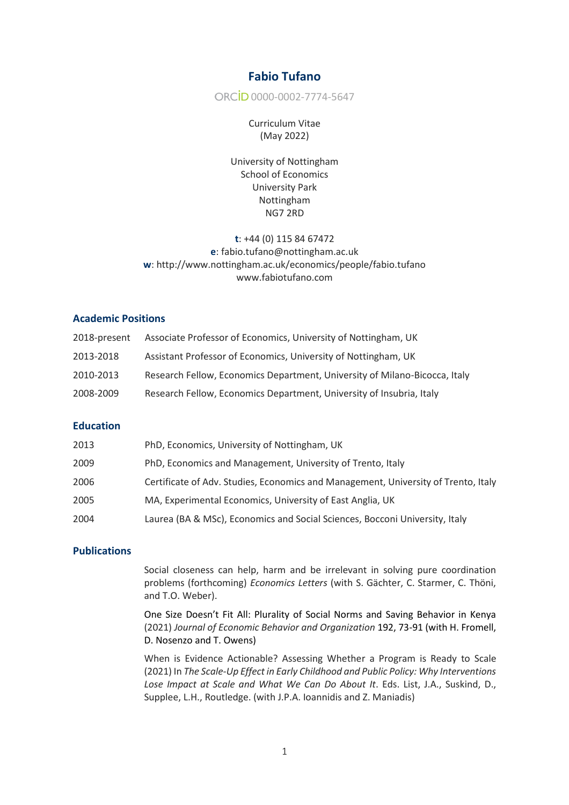# **Fabio Tufano**

ORCİD 0000-0002-7774-5647

Curriculum Vitae (May 2022)

University of Nottingham School of Economics University Park Nottingham NG7 2RD

# **t**: +44 (0) 115 84 67472 **e**: fabio.tufano@nottingham.ac.uk **w**: http://www.nottingham.ac.uk/economics/people/fabio.tufano www.fabiotufano.com

### **Academic Positions**

| 2018-present | Associate Professor of Economics, University of Nottingham, UK             |
|--------------|----------------------------------------------------------------------------|
| 2013-2018    | Assistant Professor of Economics, University of Nottingham, UK             |
| 2010-2013    | Research Fellow, Economics Department, University of Milano-Bicocca, Italy |
| 2008-2009    | Research Fellow, Economics Department, University of Insubria, Italy       |

# **Education**

| 2013 | PhD, Economics, University of Nottingham, UK                                       |
|------|------------------------------------------------------------------------------------|
| 2009 | PhD, Economics and Management, University of Trento, Italy                         |
| 2006 | Certificate of Adv. Studies, Economics and Management, University of Trento, Italy |
| 2005 | MA, Experimental Economics, University of East Anglia, UK                          |
| 2004 | Laurea (BA & MSc), Economics and Social Sciences, Bocconi University, Italy        |

# **Publications**

Social closeness can help, harm and be irrelevant in solving pure coordination problems (forthcoming) *Economics Letters* (with S. Gächter, C. Starmer, C. Thöni, and T.O. Weber).

One Size Doesn't Fit All: Plurality of Social Norms and Saving Behavior in Kenya (2021) *Journal of Economic Behavior and Organization* 192, 73-91 (with H. Fromell, D. Nosenzo and T. Owens)

When is Evidence Actionable? Assessing Whether a Program is Ready to Scale (2021) In *The Scale-Up Effect in Early Childhood and Public Policy: Why Interventions Lose Impact at Scale and What We Can Do About It*. Eds. List, J.A., Suskind, D., Supplee, L.H., Routledge. (with J.P.A. Ioannidis and Z. Maniadis)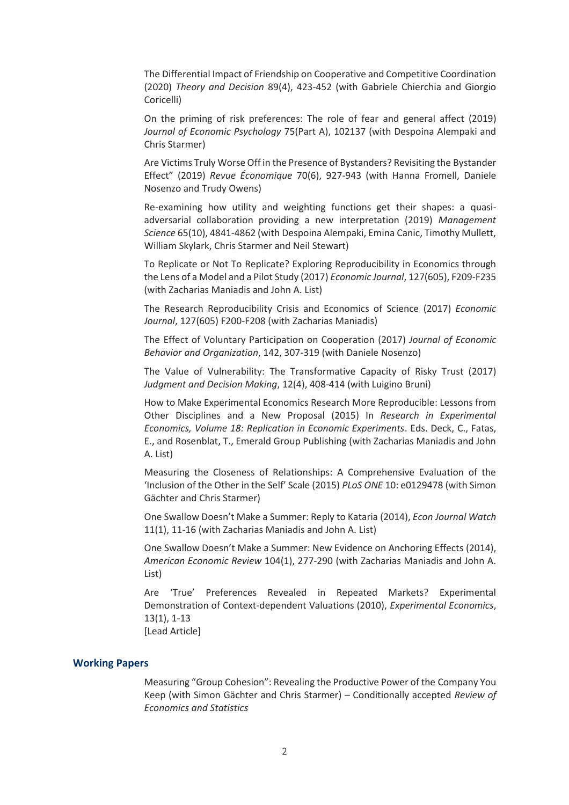The Differential Impact of Friendship on Cooperative and Competitive Coordination (2020) *Theory and Decision* 89(4), 423-452 (with Gabriele Chierchia and Giorgio Coricelli)

On the priming of risk preferences: The role of fear and general affect (2019) *Journal of Economic Psychology* 75(Part A), 102137 (with Despoina Alempaki and Chris Starmer)

Are Victims Truly Worse Off in the Presence of Bystanders? Revisiting the Bystander Effect" (2019) *Revue Économique* 70(6), 927-943 (with Hanna Fromell, Daniele Nosenzo and Trudy Owens)

Re-examining how utility and weighting functions get their shapes: a quasiadversarial collaboration providing a new interpretation (2019) *Management Science* 65(10), 4841-4862 (with Despoina Alempaki, Emina Canic, Timothy Mullett, William Skylark, Chris Starmer and Neil Stewart)

To Replicate or Not To Replicate? Exploring Reproducibility in Economics through the Lens of a Model and a Pilot Study (2017) *Economic Journal*, 127(605), F209-F235 (with Zacharias Maniadis and John A. List)

The Research Reproducibility Crisis and Economics of Science (2017) *Economic Journal*, 127(605) F200-F208 (with Zacharias Maniadis)

The Effect of Voluntary Participation on Cooperation (2017) *Journal of Economic Behavior and Organization*, 142, 307-319 (with Daniele Nosenzo)

The Value of Vulnerability: The Transformative Capacity of Risky Trust (2017) *Judgment and Decision Making*, 12(4), 408-414 (with Luigino Bruni)

How to Make Experimental Economics Research More Reproducible: Lessons from Other Disciplines and a New Proposal (2015) In *Research in Experimental Economics, Volume 18: Replication in Economic Experiments*. Eds. Deck, C., Fatas, E., and Rosenblat, T., Emerald Group Publishing (with Zacharias Maniadis and John A. List)

Measuring the Closeness of Relationships: A Comprehensive Evaluation of the 'Inclusion of the Other in the Self' Scale (2015) *PLoS ONE* 10: e0129478 (with Simon Gächter and Chris Starmer)

One Swallow Doesn't Make a Summer: Reply to Kataria (2014), *Econ Journal Watch* 11(1), 11-16 (with Zacharias Maniadis and John A. List)

One Swallow Doesn't Make a Summer: New Evidence on Anchoring Effects (2014), *American Economic Review* 104(1), 277-290 (with Zacharias Maniadis and John A. List)

Are 'True' Preferences Revealed in Repeated Markets? Experimental Demonstration of Context-dependent Valuations (2010), *Experimental Economics*, 13(1), 1-13

[Lead Article]

#### **Working Papers**

Measuring "Group Cohesion": Revealing the Productive Power of the Company You Keep (with Simon Gächter and Chris Starmer) – Conditionally accepted *Review of Economics and Statistics*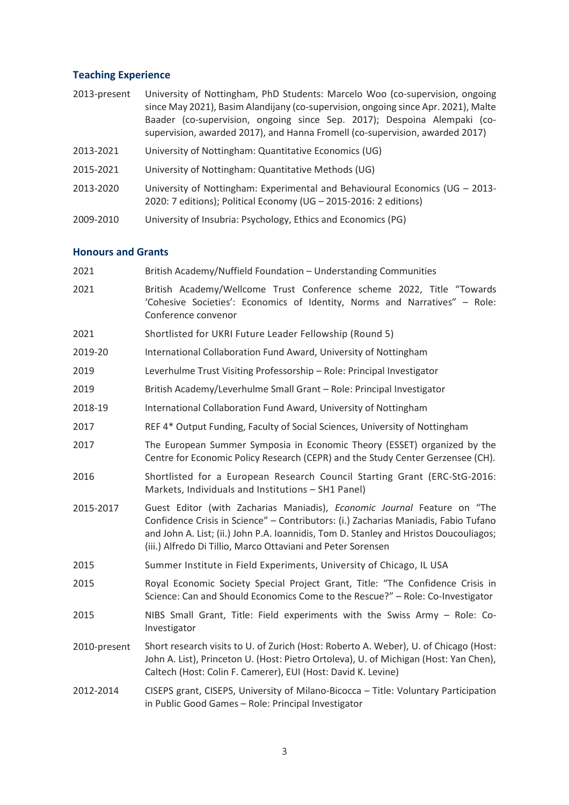### **Teaching Experience**

- 2013-present University of Nottingham, PhD Students: Marcelo Woo (co-supervision, ongoing since May 2021), Basim Alandijany (co-supervision, ongoing since Apr. 2021), Malte Baader (co-supervision, ongoing since Sep. 2017); Despoina Alempaki (cosupervision, awarded 2017), and Hanna Fromell (co-supervision, awarded 2017)
- 2013-2021 University of Nottingham: Quantitative Economics (UG)
- 2015-2021 University of Nottingham: Quantitative Methods (UG)
- 2013-2020 University of Nottingham: Experimental and Behavioural Economics (UG 2013- 2020: 7 editions); Political Economy (UG – 2015-2016: 2 editions)
- 2009-2010 University of Insubria: Psychology, Ethics and Economics (PG)

# **Honours and Grants**

| 2021         | British Academy/Nuffield Foundation - Understanding Communities                                                                                                                                                                                                                                                          |
|--------------|--------------------------------------------------------------------------------------------------------------------------------------------------------------------------------------------------------------------------------------------------------------------------------------------------------------------------|
| 2021         | British Academy/Wellcome Trust Conference scheme 2022, Title "Towards<br>'Cohesive Societies': Economics of Identity, Norms and Narratives" - Role:<br>Conference convenor                                                                                                                                               |
| 2021         | Shortlisted for UKRI Future Leader Fellowship (Round 5)                                                                                                                                                                                                                                                                  |
| 2019-20      | International Collaboration Fund Award, University of Nottingham                                                                                                                                                                                                                                                         |
| 2019         | Leverhulme Trust Visiting Professorship - Role: Principal Investigator                                                                                                                                                                                                                                                   |
| 2019         | British Academy/Leverhulme Small Grant - Role: Principal Investigator                                                                                                                                                                                                                                                    |
| 2018-19      | International Collaboration Fund Award, University of Nottingham                                                                                                                                                                                                                                                         |
| 2017         | REF 4* Output Funding, Faculty of Social Sciences, University of Nottingham                                                                                                                                                                                                                                              |
| 2017         | The European Summer Symposia in Economic Theory (ESSET) organized by the<br>Centre for Economic Policy Research (CEPR) and the Study Center Gerzensee (CH).                                                                                                                                                              |
| 2016         | Shortlisted for a European Research Council Starting Grant (ERC-StG-2016:<br>Markets, Individuals and Institutions - SH1 Panel)                                                                                                                                                                                          |
| 2015-2017    | Guest Editor (with Zacharias Maniadis), Economic Journal Feature on "The<br>Confidence Crisis in Science" - Contributors: (i.) Zacharias Maniadis, Fabio Tufano<br>and John A. List; (ii.) John P.A. Ioannidis, Tom D. Stanley and Hristos Doucouliagos;<br>(iii.) Alfredo Di Tillio, Marco Ottaviani and Peter Sorensen |
| 2015         | Summer Institute in Field Experiments, University of Chicago, IL USA                                                                                                                                                                                                                                                     |
| 2015         | Royal Economic Society Special Project Grant, Title: "The Confidence Crisis in<br>Science: Can and Should Economics Come to the Rescue?" - Role: Co-Investigator                                                                                                                                                         |
| 2015         | NIBS Small Grant, Title: Field experiments with the Swiss Army - Role: Co-<br>Investigator                                                                                                                                                                                                                               |
| 2010-present | Short research visits to U. of Zurich (Host: Roberto A. Weber), U. of Chicago (Host:<br>John A. List), Princeton U. (Host: Pietro Ortoleva), U. of Michigan (Host: Yan Chen),<br>Caltech (Host: Colin F. Camerer), EUI (Host: David K. Levine)                                                                           |
| 2012-2014    | CISEPS grant, CISEPS, University of Milano-Bicocca - Title: Voluntary Participation<br>in Public Good Games - Role: Principal Investigator                                                                                                                                                                               |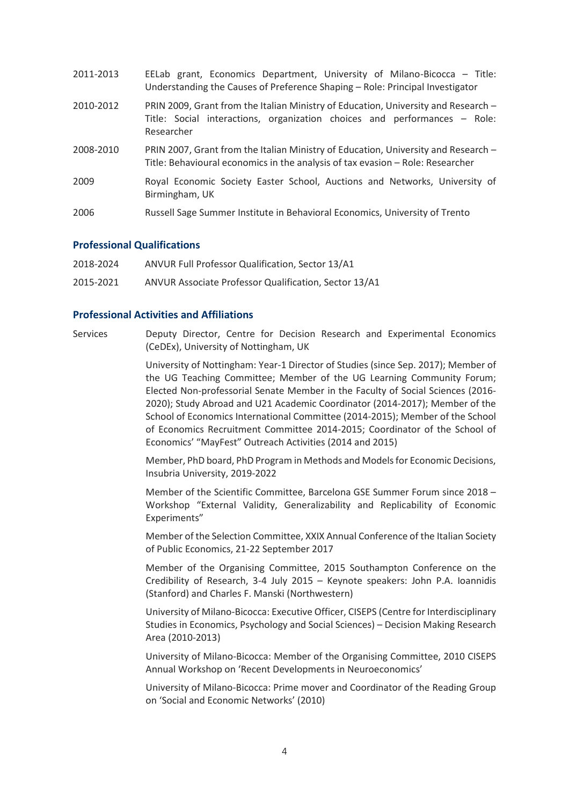| 2011-2013 | EELab grant, Economics Department, University of Milano-Bicocca - Title:<br>Understanding the Causes of Preference Shaping - Role: Principal Investigator                     |
|-----------|-------------------------------------------------------------------------------------------------------------------------------------------------------------------------------|
| 2010-2012 | PRIN 2009, Grant from the Italian Ministry of Education, University and Research -<br>Title: Social interactions, organization choices and performances - Role:<br>Researcher |
| 2008-2010 | PRIN 2007, Grant from the Italian Ministry of Education, University and Research -<br>Title: Behavioural economics in the analysis of tax evasion - Role: Researcher          |
| 2009      | Royal Economic Society Easter School, Auctions and Networks, University of<br>Birmingham, UK                                                                                  |
| 2006      | Russell Sage Summer Institute in Behavioral Economics, University of Trento                                                                                                   |

#### **Professional Qualifications**

| 2018-2024 | ANVUR Full Professor Qualification, Sector 13/A1 |  |
|-----------|--------------------------------------------------|--|
|-----------|--------------------------------------------------|--|

2015-2021 ANVUR Associate Professor Qualification, Sector 13/A1

#### **Professional Activities and Affiliations**

Services Deputy Director, Centre for Decision Research and Experimental Economics (CeDEx), University of Nottingham, UK

> University of Nottingham: Year-1 Director of Studies (since Sep. 2017); Member of the UG Teaching Committee; Member of the UG Learning Community Forum; Elected Non-professorial Senate Member in the Faculty of Social Sciences (2016- 2020); Study Abroad and U21 Academic Coordinator (2014-2017); Member of the School of Economics International Committee (2014-2015); Member of the School of Economics Recruitment Committee 2014-2015; Coordinator of the School of Economics' "MayFest" Outreach Activities (2014 and 2015)

> Member, PhD board, PhD Program in Methods and Models for Economic Decisions, Insubria University, 2019-2022

> Member of the Scientific Committee, Barcelona GSE Summer Forum since 2018 – Workshop "External Validity, Generalizability and Replicability of Economic Experiments"

> Member of the Selection Committee, XXIX Annual Conference of the Italian Society of Public Economics, 21-22 September 2017

> Member of the Organising Committee, 2015 Southampton Conference on the Credibility of Research, 3-4 July 2015 – Keynote speakers: John P.A. Ioannidis (Stanford) and Charles F. Manski (Northwestern)

> University of Milano-Bicocca: Executive Officer, CISEPS (Centre for Interdisciplinary Studies in Economics, Psychology and Social Sciences) – Decision Making Research Area (2010-2013)

> University of Milano-Bicocca: Member of the Organising Committee, 2010 CISEPS Annual Workshop on 'Recent Developments in Neuroeconomics'

> University of Milano-Bicocca: Prime mover and Coordinator of the Reading Group on 'Social and Economic Networks' (2010)